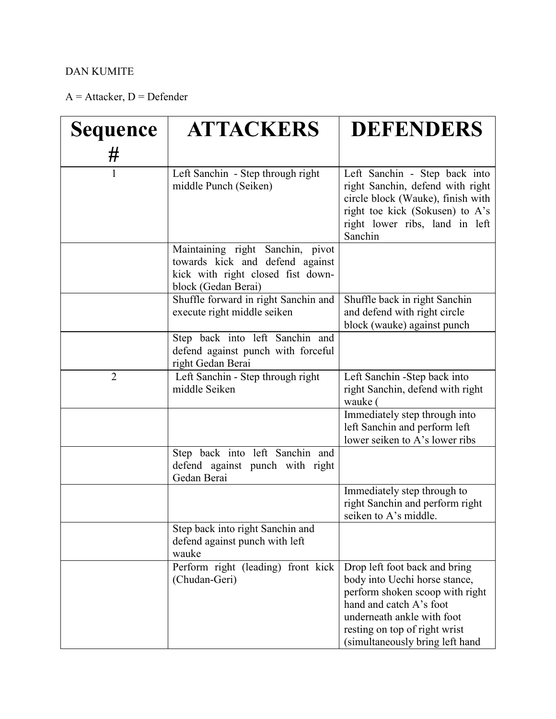## DAN KUMITE

 $A =$  Attacker,  $D =$  Defender

| <b>Sequence</b> | <b>ATTACKERS</b>                                                                                                                | <b>DEFENDERS</b>                                                                                                                                                                                                               |
|-----------------|---------------------------------------------------------------------------------------------------------------------------------|--------------------------------------------------------------------------------------------------------------------------------------------------------------------------------------------------------------------------------|
| #               |                                                                                                                                 |                                                                                                                                                                                                                                |
| $\mathbf{1}$    | Left Sanchin - Step through right<br>middle Punch (Seiken)                                                                      | Left Sanchin - Step back into<br>right Sanchin, defend with right<br>circle block (Wauke), finish with<br>right toe kick (Sokusen) to A's<br>right lower ribs, land in left<br>Sanchin                                         |
|                 | Maintaining right Sanchin, pivot<br>towards kick and defend against<br>kick with right closed fist down-<br>block (Gedan Berai) |                                                                                                                                                                                                                                |
|                 | Shuffle forward in right Sanchin and<br>execute right middle seiken                                                             | Shuffle back in right Sanchin<br>and defend with right circle<br>block (wauke) against punch                                                                                                                                   |
|                 | Step back into left Sanchin and<br>defend against punch with forceful<br>right Gedan Berai                                      |                                                                                                                                                                                                                                |
| $\overline{2}$  | Left Sanchin - Step through right<br>middle Seiken                                                                              | Left Sanchin -Step back into<br>right Sanchin, defend with right<br>wauke (                                                                                                                                                    |
|                 |                                                                                                                                 | Immediately step through into<br>left Sanchin and perform left<br>lower seiken to A's lower ribs                                                                                                                               |
|                 | Step back into left Sanchin and<br>defend against punch with right<br>Gedan Berai                                               |                                                                                                                                                                                                                                |
|                 |                                                                                                                                 | Immediately step through to<br>right Sanchin and perform right<br>seiken to A's middle.                                                                                                                                        |
|                 | Step back into right Sanchin and<br>defend against punch with left<br>wauke                                                     |                                                                                                                                                                                                                                |
|                 | Perform right (leading) front kick<br>(Chudan-Geri)                                                                             | Drop left foot back and bring<br>body into Uechi horse stance,<br>perform shoken scoop with right<br>hand and catch A's foot<br>underneath ankle with foot<br>resting on top of right wrist<br>(simultaneously bring left hand |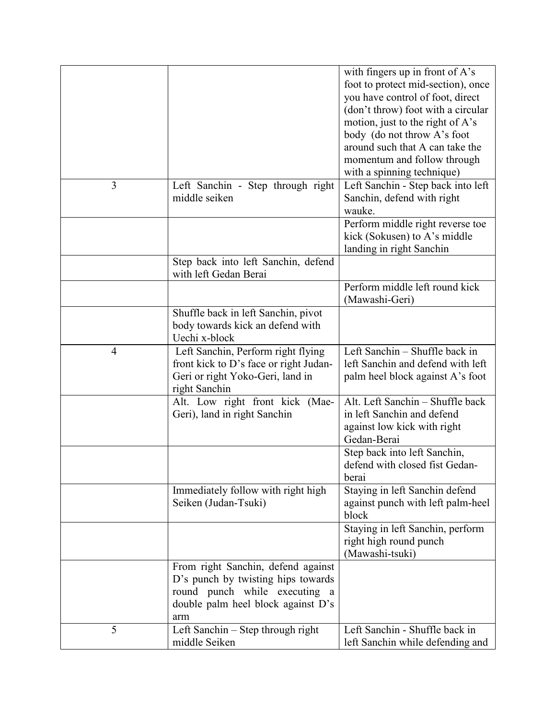|                |                                                                                                                                                        | with fingers up in front of A's<br>foot to protect mid-section), once<br>you have control of foot, direct<br>(don't throw) foot with a circular |
|----------------|--------------------------------------------------------------------------------------------------------------------------------------------------------|-------------------------------------------------------------------------------------------------------------------------------------------------|
|                |                                                                                                                                                        | motion, just to the right of A's<br>body (do not throw A's foot<br>around such that A can take the                                              |
|                |                                                                                                                                                        | momentum and follow through<br>with a spinning technique)                                                                                       |
| 3              | Left Sanchin - Step through right<br>middle seiken                                                                                                     | Left Sanchin - Step back into left<br>Sanchin, defend with right<br>wauke.                                                                      |
|                |                                                                                                                                                        | Perform middle right reverse toe<br>kick (Sokusen) to A's middle<br>landing in right Sanchin                                                    |
|                | Step back into left Sanchin, defend<br>with left Gedan Berai                                                                                           |                                                                                                                                                 |
|                |                                                                                                                                                        | Perform middle left round kick<br>(Mawashi-Geri)                                                                                                |
|                | Shuffle back in left Sanchin, pivot<br>body towards kick an defend with<br>Uechi x-block                                                               |                                                                                                                                                 |
| $\overline{4}$ | Left Sanchin, Perform right flying<br>front kick to D's face or right Judan-<br>Geri or right Yoko-Geri, land in<br>right Sanchin                      | Left Sanchin - Shuffle back in<br>left Sanchin and defend with left<br>palm heel block against A's foot                                         |
|                | Alt. Low right front kick (Mae-<br>Geri), land in right Sanchin                                                                                        | Alt. Left Sanchin - Shuffle back<br>in left Sanchin and defend<br>against low kick with right<br>Gedan-Berai                                    |
|                |                                                                                                                                                        | Step back into left Sanchin,<br>defend with closed fist Gedan-<br>berai                                                                         |
|                | Immediately follow with right high<br>Seiken (Judan-Tsuki)                                                                                             | Staying in left Sanchin defend<br>against punch with left palm-heel<br>block                                                                    |
|                |                                                                                                                                                        | Staying in left Sanchin, perform<br>right high round punch<br>(Mawashi-tsuki)                                                                   |
|                | From right Sanchin, defend against<br>D's punch by twisting hips towards<br>round punch while executing a<br>double palm heel block against D's<br>arm |                                                                                                                                                 |
| 5              | Left Sanchin – Step through right<br>middle Seiken                                                                                                     | Left Sanchin - Shuffle back in<br>left Sanchin while defending and                                                                              |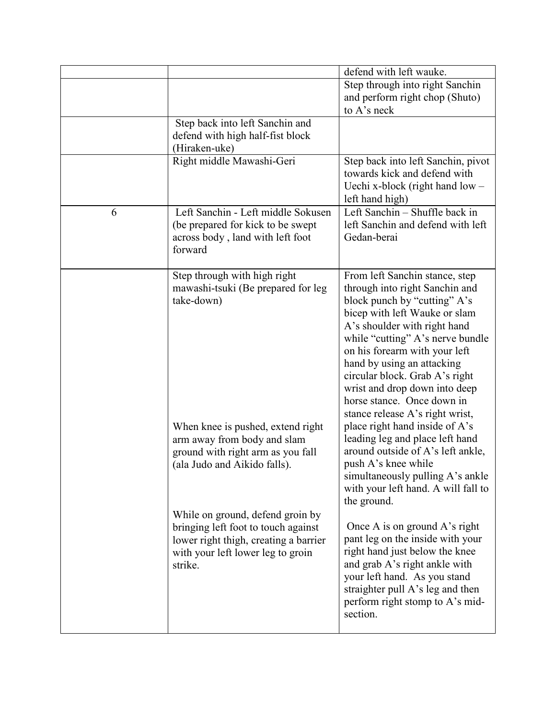|   |                                                                                                                                                                  | defend with left wauke.                                                                                                                                                                                                                                                                                                                                                                                  |
|---|------------------------------------------------------------------------------------------------------------------------------------------------------------------|----------------------------------------------------------------------------------------------------------------------------------------------------------------------------------------------------------------------------------------------------------------------------------------------------------------------------------------------------------------------------------------------------------|
|   |                                                                                                                                                                  | Step through into right Sanchin                                                                                                                                                                                                                                                                                                                                                                          |
|   |                                                                                                                                                                  | and perform right chop (Shuto)                                                                                                                                                                                                                                                                                                                                                                           |
|   |                                                                                                                                                                  | to A's neck                                                                                                                                                                                                                                                                                                                                                                                              |
|   | Step back into left Sanchin and<br>defend with high half-fist block<br>(Hiraken-uke)                                                                             |                                                                                                                                                                                                                                                                                                                                                                                                          |
|   | Right middle Mawashi-Geri                                                                                                                                        | Step back into left Sanchin, pivot<br>towards kick and defend with<br>Uechi x-block (right hand $low$ –<br>left hand high)                                                                                                                                                                                                                                                                               |
| 6 | Left Sanchin - Left middle Sokusen<br>(be prepared for kick to be swept<br>across body, land with left foot<br>forward                                           | Left Sanchin - Shuffle back in<br>left Sanchin and defend with left<br>Gedan-berai                                                                                                                                                                                                                                                                                                                       |
|   | Step through with high right<br>mawashi-tsuki (Be prepared for leg<br>take-down)                                                                                 | From left Sanchin stance, step<br>through into right Sanchin and<br>block punch by "cutting" A's<br>bicep with left Wauke or slam<br>A's shoulder with right hand<br>while "cutting" A's nerve bundle<br>on his forearm with your left<br>hand by using an attacking<br>circular block. Grab A's right<br>wrist and drop down into deep<br>horse stance. Once down in<br>stance release A's right wrist, |
|   | When knee is pushed, extend right<br>arm away from body and slam<br>ground with right arm as you fall<br>(ala Judo and Aikido falls).                            | place right hand inside of A's<br>leading leg and place left hand<br>around outside of A's left ankle,<br>push A's knee while<br>simultaneously pulling A's ankle<br>with your left hand. A will fall to<br>the ground.                                                                                                                                                                                  |
|   | While on ground, defend groin by<br>bringing left foot to touch against<br>lower right thigh, creating a barrier<br>with your left lower leg to groin<br>strike. | Once A is on ground A's right<br>pant leg on the inside with your<br>right hand just below the knee<br>and grab A's right ankle with<br>your left hand. As you stand<br>straighter pull A's leg and then<br>perform right stomp to A's mid-<br>section.                                                                                                                                                  |